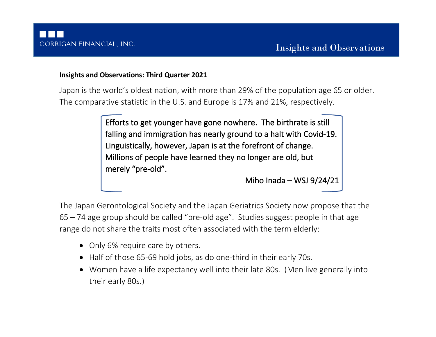# **Insights and Observations: Third Quarter 2021**

Japan is the world's oldest nation, with more than 29% of the population age 65 or older. The comparative statistic in the U.S. and Europe is 17% and 21%, respectively.

> Efforts to get younger have gone nowhere. The birthrate is still falling and immigration has nearly ground to a halt with Covid-19. Linguistically, however, Japan is at the forefront of change. Millions of people have learned they no longer are old, but merely "pre-old".

> > Miho Inada – WSJ 9/24/21

The Japan Gerontological Society and the Japan Geriatrics Society now propose that the 65 – 74 age group should be called "pre-old age". Studies suggest people in that age range do not share the traits most often associated with the term elderly:

- Only 6% require care by others.
- Half of those 65-69 hold jobs, as do one-third in their early 70s.
- Women have a life expectancy well into their late 80s. (Men live generally into their early 80s.)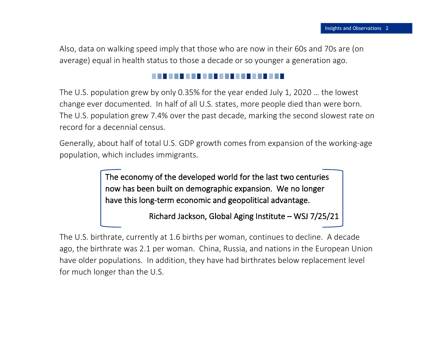Also, data on walking speed imply that those who are now in their 60s and 70s are (on average) equal in health status to those a decade or so younger a generation ago.

The U.S. population grew by only 0.35% for the year ended July 1, 2020 … the lowest change ever documented. In half of all U.S. states, more people died than were born. The U.S. population grew 7.4% over the past decade, marking the second slowest rate on record for a decennial census.

Generally, about half of total U.S. GDP growth comes from expansion of the working-age population, which includes immigrants.

> The economy of the developed world for the last two centuries now has been built on demographic expansion. We no longer have this long-term economic and geopolitical advantage.

> > Richard Jackson, Global Aging Institute – WSJ 7/25/21

The U.S. birthrate, currently at 1.6 births per woman, continues to decline. A decade ago, the birthrate was 2.1 per woman. China, Russia, and nations in the European Union have older populations. In addition, they have had birthrates below replacement level for much longer than the U.S.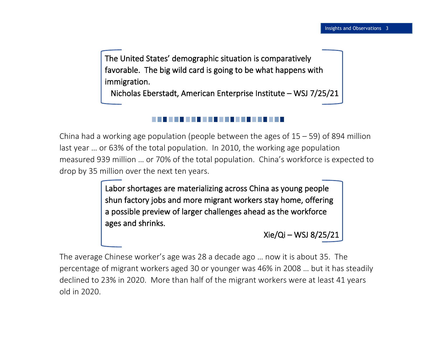The United States' demographic situation is comparatively favorable. The big wild card is going to be what happens with immigration.

Nicholas Eberstadt, American Enterprise Institute – WSJ 7/25/21

China had a working age population (people between the ages of  $15 - 59$ ) of 894 million last year … or 63% of the total population. In 2010, the working age population measured 939 million … or 70% of the total population. China's workforce is expected to drop by 35 million over the next ten years.

> Labor shortages are materializing across China as young people shun factory jobs and more migrant workers stay home, offering a possible preview of larger challenges ahead as the workforce ages and shrinks.

> > Xie/Qi – WSJ 8/25/21

The average Chinese worker's age was 28 a decade ago … now it is about 35. The percentage of migrant workers aged 30 or younger was 46% in 2008 … but it has steadily declined to 23% in 2020. More than half of the migrant workers were at least 41 years old in 2020.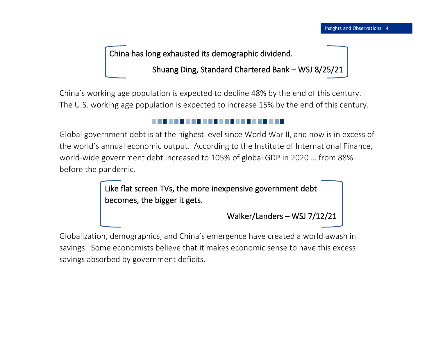China has long exhausted its demographic dividend.

Shuang Ding, Standard Chartered Bank – WSJ 8/25/21

China's working age population is expected to decline 48% by the end of this century. The U.S. working age population is expected to increase 15% by the end of this century.

Global government debt is at the highest level since World War II, and now is in excess of the world's annual economic output. According to the Institute of International Finance, world-wide government debt increased to 105% of global GDP in 2020 … from 88% before the pandemic.

> Like flat screen TVs, the more inexpensive government debt becomes, the bigger it gets.

> > Walker/Landers – WSJ 7/12/21

Globalization, demographics, and China's emergence have created a world awash in savings. Some economists believe that it makes economic sense to have this excess savings absorbed by government deficits.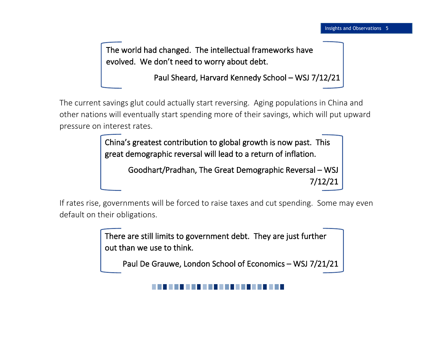The world had changed. The intellectual frameworks have evolved. We don't need to worry about debt.

Paul Sheard, Harvard Kennedy School – WSJ 7/12/21

The current savings glut could actually start reversing. Aging populations in China and other nations will eventually start spending more of their savings, which will put upward pressure on interest rates.

> China's greatest contribution to global growth is now past. This great demographic reversal will lead to a return of inflation.

> > Goodhart/Pradhan, The Great Demographic Reversal – WSJ 7/12/21

If rates rise, governments will be forced to raise taxes and cut spending. Some may even default on their obligations.

> There are still limits to government debt. They are just further out than we use to think.

Paul De Grauwe, London School of Economics – WSJ 7/21/21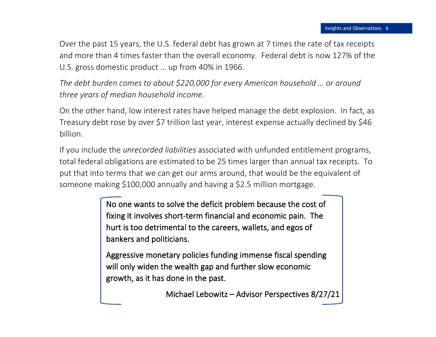Over the past 15 years, the U.S. federal debt has grown at 7 times the rate of tax receipts and more than 4 times faster than the overall economy. Federal debt is now 127% of the U.S. gross domestic product … up from 40% in 1966.

*The debt burden comes to about \$220,000 for every American household … or around three years of median household income.* 

On the other hand, low interest rates have helped manage the debt explosion. In fact, as Treasury debt rose by over \$7 trillion last year, interest expense actually declined by \$46 billion.

If you include the *unrecorded liabilities* associated with unfunded entitlement programs, total federal obligations are estimated to be 25 times larger than annual tax receipts. To put that into terms that we can get our arms around, that would be the equivalent of someone making \$100,000 annually and having a \$2.5 million mortgage.

> No one wants to solve the deficit problem because the cost of fixing it involves short-term financial and economic pain. The hurt is too detrimental to the careers, wallets, and egos of bankers and politicians.

> Aggressive monetary policies funding immense fiscal spending will only widen the wealth gap and further slow economic growth, as it has done in the past.

> > Michael Lebowitz – Advisor Perspectives 8/27/21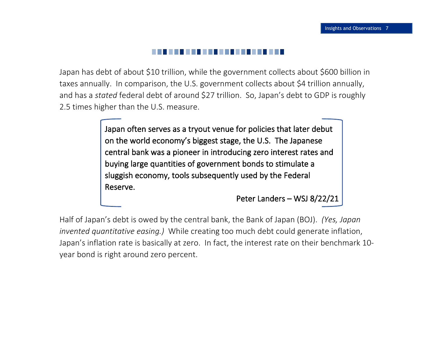# ------

Japan has debt of about \$10 trillion, while the government collects about \$600 billion in taxes annually. In comparison, the U.S. government collects about \$4 trillion annually, and has a *stated* federal debt of around \$27 trillion. So, Japan's debt to GDP is roughly 2.5 times higher than the U.S. measure.

> Japan often serves as a tryout venue for policies that later debut on the world economy's biggest stage, the U.S. The Japanese central bank was a pioneer in introducing zero interest rates and buying large quantities of government bonds to stimulate a sluggish economy, tools subsequently used by the Federal Reserve.

> > Peter Landers – WSJ 8/22/21

Half of Japan's debt is owed by the central bank, the Bank of Japan (BOJ). *(Yes, Japan invented quantitative easing.)* While creating too much debt could generate inflation, Japan's inflation rate is basically at zero. In fact, the interest rate on their benchmark 10 year bond is right around zero percent.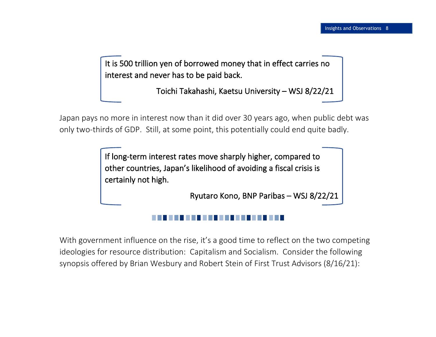It is 500 trillion yen of borrowed money that in effect carries no interest and never has to be paid back.

Toichi Takahashi, Kaetsu University – WSJ 8/22/21

Japan pays no more in interest now than it did over 30 years ago, when public debt was only two-thirds of GDP. Still, at some point, this potentially could end quite badly.

> If long-term interest rates move sharply higher, compared to other countries, Japan's likelihood of avoiding a fiscal crisis is certainly not high.

> > Ryutaro Kono, BNP Paribas – WSJ 8/22/21

With government influence on the rise, it's a good time to reflect on the two competing ideologies for resource distribution: Capitalism and Socialism. Consider the following synopsis offered by Brian Wesbury and Robert Stein of First Trust Advisors (8/16/21):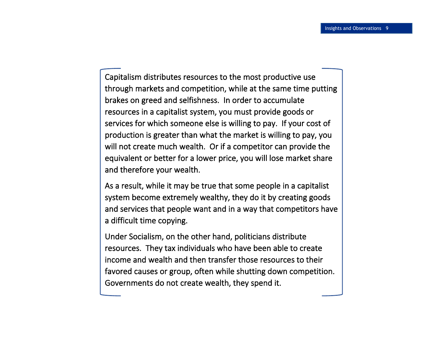I

Capitalism distributes resources to the most productive use through markets and competition, while at the same time putting brakes on greed and selfishness. In order to accumulate resources in a capitalist system, you must provide goods or services for which someone else is willing to pay. If your cost of production is greater than what the market is willing to pay, you will not create much wealth. Or if a competitor can provide the equivalent or better for a lower price, you will lose market share and therefore your wealth.

As a result, while it may be true that some people in a capitalist system become extremely wealthy, they do it by creating goods and services that people want and in a way that competitors have a difficult time copying.

Under Socialism, on the other hand, politicians distribute resources. They tax individuals who have been able to create income and wealth and then transfer those resources to their favored causes or group, often while shutting down competition. Governments do not create wealth, they spend it.